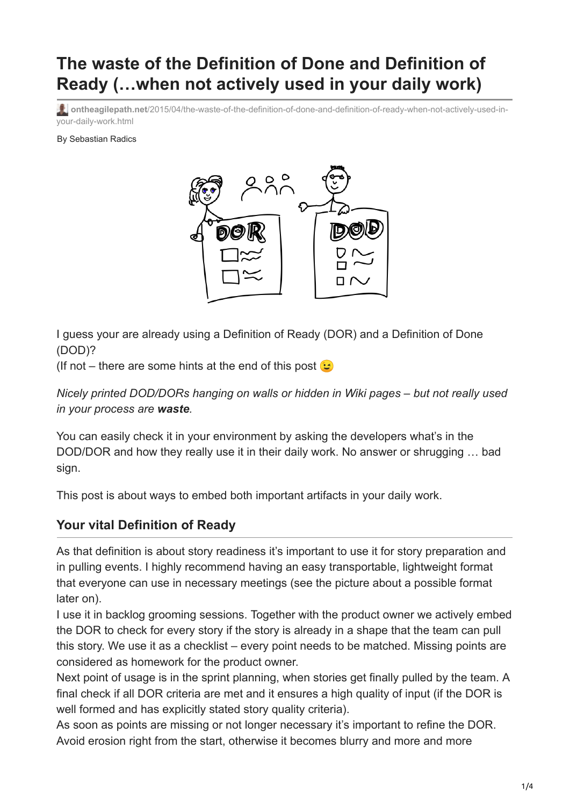# **The waste of the Definition of Done and Definition of Ready (…when not actively used in your daily work)**

**ontheagilepath.net**[/2015/04/the-waste-of-the-definition-of-done-and-definition-of-ready-when-not-actively-used-in](https://www.ontheagilepath.net/2015/04/the-waste-of-the-definition-of-done-and-definition-of-ready-when-not-actively-used-in-your-daily-work.html)your-daily-work.html

By Sebastian Radics



I guess your are already using a Definition of Ready (DOR) and a Definition of Done (DOD)?

(If not – there are some hints at the end of this post  $\odot$ 

*Nicely printed DOD/DORs hanging on walls or hidden in Wiki pages – but not really used in your process are waste.*

You can easily check it in your environment by asking the developers what's in the DOD/DOR and how they really use it in their daily work. No answer or shrugging … bad sign.

This post is about ways to embed both important artifacts in your daily work.

#### **Your vital Definition of Ready**

As that definition is about story readiness it's important to use it for story preparation and in pulling events. I highly recommend having an easy transportable, lightweight format that everyone can use in necessary meetings (see the picture about a possible format later on).

I use it in backlog grooming sessions. Together with the product owner we actively embed the DOR to check for every story if the story is already in a shape that the team can pull this story. We use it as a checklist – every point needs to be matched. Missing points are considered as homework for the product owner.

Next point of usage is in the sprint planning, when stories get finally pulled by the team. A final check if all DOR criteria are met and it ensures a high quality of input (if the DOR is well formed and has explicitly stated story quality criteria).

As soon as points are missing or not longer necessary it's important to refine the DOR. Avoid erosion right from the start, otherwise it becomes blurry and more and more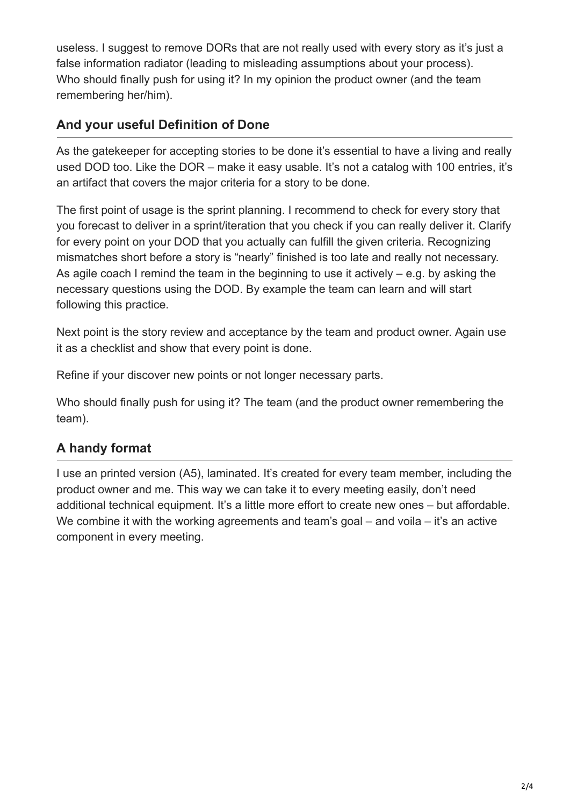useless. I suggest to remove DORs that are not really used with every story as it's just a false information radiator (leading to misleading assumptions about your process). Who should finally push for using it? In my opinion the product owner (and the team remembering her/him).

## **And your useful Definition of Done**

As the gatekeeper for accepting stories to be done it's essential to have a living and really used DOD too. Like the DOR – make it easy usable. It's not a catalog with 100 entries, it's an artifact that covers the major criteria for a story to be done.

The first point of usage is the sprint planning. I recommend to check for every story that you forecast to deliver in a sprint/iteration that you check if you can really deliver it. Clarify for every point on your DOD that you actually can fulfill the given criteria. Recognizing mismatches short before a story is "nearly" finished is too late and really not necessary. As agile coach I remind the team in the beginning to use it actively – e.g. by asking the necessary questions using the DOD. By example the team can learn and will start following this practice.

Next point is the story review and acceptance by the team and product owner. Again use it as a checklist and show that every point is done.

Refine if your discover new points or not longer necessary parts.

Who should finally push for using it? The team (and the product owner remembering the team).

## **A handy format**

I use an printed version (A5), laminated. It's created for every team member, including the product owner and me. This way we can take it to every meeting easily, don't need additional technical equipment. It's a little more effort to create new ones – but affordable. We combine it with the working agreements and team's goal – and voila – it's an active component in every meeting.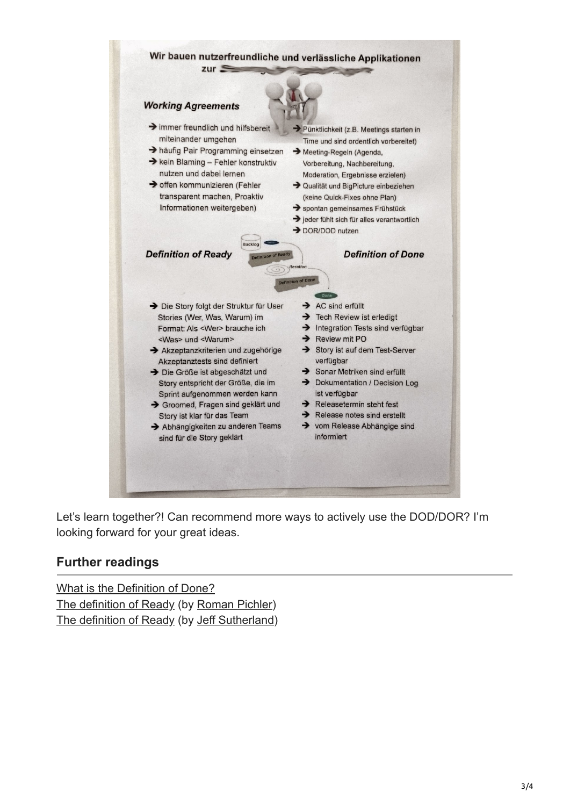

Let's learn together?! Can recommend more ways to actively use the DOD/DOR? I'm looking forward for your great ideas.

### **Further readings**

[What is the Definition of Done?](https://www.scrum.org/Resources/Scrum-Glossary/Definition-of-Done) [The definition of Ready](http://www.romanpichler.com/blog/the-definition-of-ready/) (by [Roman Pichler](https://twitter.com/romanpichler)) [The definition of Ready](http://www.scruminc.com/definition-of-ready/) (by [Jeff Sutherland\)](https://twitter.com/jeffsutherland)